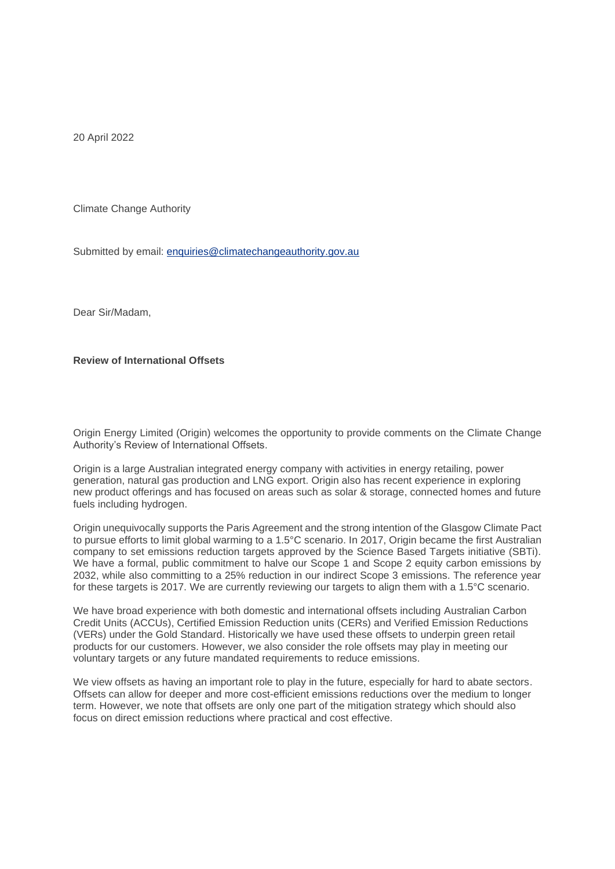20 April 2022

Climate Change Authority

Submitted by email: [enquiries@climatechangeauthority.gov.au](mailto:enquiries@climatechangeauthority.gov.au)

Dear Sir/Madam,

**Review of International Offsets**

Origin Energy Limited (Origin) welcomes the opportunity to provide comments on the Climate Change Authority's Review of International Offsets.

Origin is a large Australian integrated energy company with activities in energy retailing, power generation, natural gas production and LNG export. Origin also has recent experience in exploring new product offerings and has focused on areas such as solar & storage, connected homes and future fuels including hydrogen.

Origin unequivocally supports the Paris Agreement and the strong intention of the Glasgow Climate Pact to pursue efforts to limit global warming to a 1.5°C scenario. In 2017, Origin became the first Australian company to set emissions reduction targets approved by the Science Based Targets initiative (SBTi). We have a formal, public commitment to halve our Scope 1 and Scope 2 equity carbon emissions by 2032, while also committing to a 25% reduction in our indirect Scope 3 emissions. The reference year for these targets is 2017. We are currently reviewing our targets to align them with a 1.5°C scenario.

We have broad experience with both domestic and international offsets including Australian Carbon Credit Units (ACCUs), Certified Emission Reduction units (CERs) and Verified Emission Reductions (VERs) under the Gold Standard. Historically we have used these offsets to underpin green retail products for our customers. However, we also consider the role offsets may play in meeting our voluntary targets or any future mandated requirements to reduce emissions.

We view offsets as having an important role to play in the future, especially for hard to abate sectors. Offsets can allow for deeper and more cost-efficient emissions reductions over the medium to longer term. However, we note that offsets are only one part of the mitigation strategy which should also focus on direct emission reductions where practical and cost effective.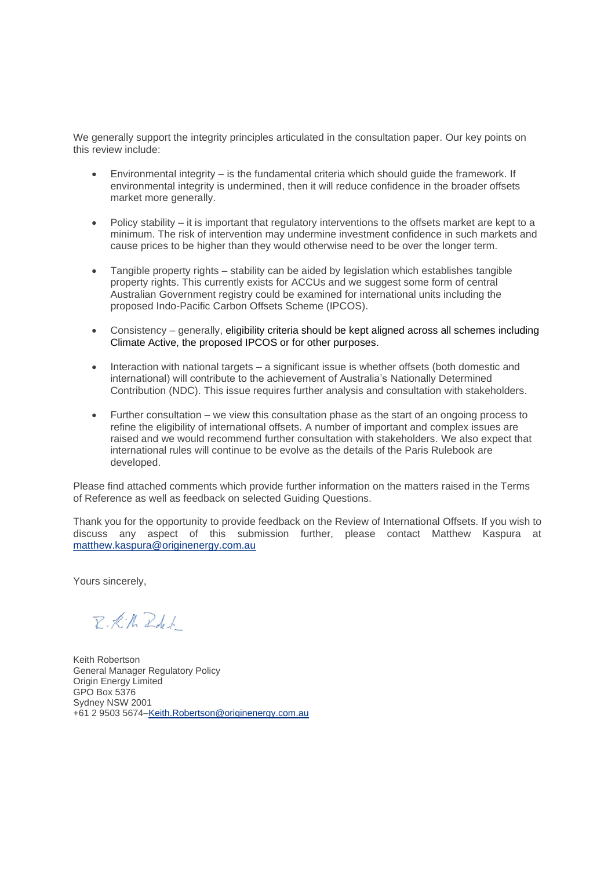We generally support the integrity principles articulated in the consultation paper. Our key points on this review include:

- Environmental integrity is the fundamental criteria which should guide the framework. If environmental integrity is undermined, then it will reduce confidence in the broader offsets market more generally.
- Policy stability it is important that regulatory interventions to the offsets market are kept to a minimum. The risk of intervention may undermine investment confidence in such markets and cause prices to be higher than they would otherwise need to be over the longer term.
- Tangible property rights stability can be aided by legislation which establishes tangible property rights. This currently exists for ACCUs and we suggest some form of central Australian Government registry could be examined for international units including the proposed Indo-Pacific Carbon Offsets Scheme (IPCOS).
- Consistency generally, eligibility criteria should be kept aligned across all schemes including Climate Active, the proposed IPCOS or for other purposes.
- Interaction with national targets a significant issue is whether offsets (both domestic and international) will contribute to the achievement of Australia's Nationally Determined Contribution (NDC). This issue requires further analysis and consultation with stakeholders.
- Further consultation we view this consultation phase as the start of an ongoing process to refine the eligibility of international offsets. A number of important and complex issues are raised and we would recommend further consultation with stakeholders. We also expect that international rules will continue to be evolve as the details of the Paris Rulebook are developed.

Please find attached comments which provide further information on the matters raised in the Terms of Reference as well as feedback on selected Guiding Questions.

Thank you for the opportunity to provide feedback on the Review of International Offsets. If you wish to discuss any aspect of this submission further, please contact Matthew Kaspura at [matthew.kaspura@originenergy.com.au](mailto:shaun.cole@originenergy.com.au)

Yours sincerely,

 $Z:K/hZdL$ 

Keith Robertson General Manager Regulatory Policy **Origin Energy Limited** GPO Box 5376 Sydney NSW 2001 +61 2 9503 5674[–Keith.Robertson@originenergy.com.au](mailto:Keith.Robertson@originenergy.com.au)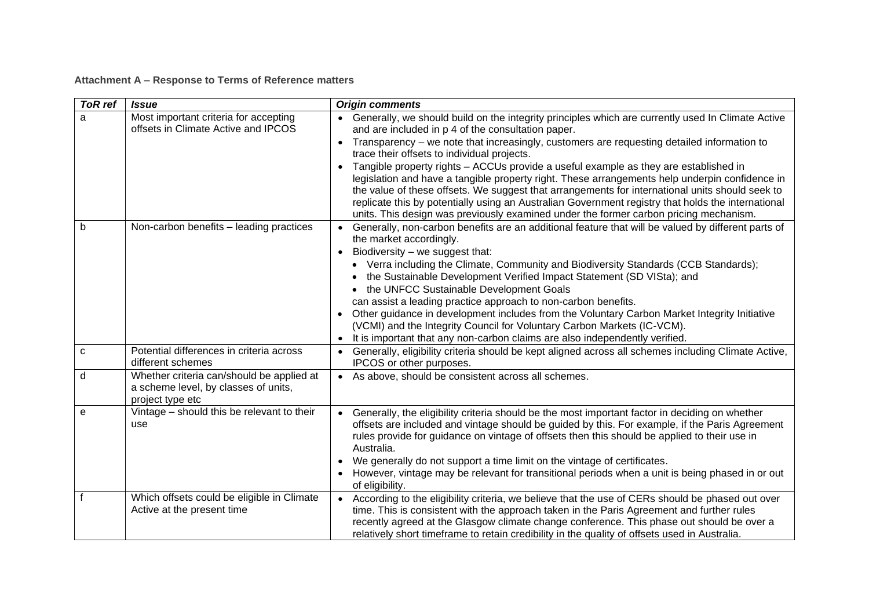## **Attachment A – Response to Terms of Reference matters**

| <b>ToR</b> ref | <b>Issue</b>                                                                                          | <b>Origin comments</b>                                                                                                                                                                                                                                                                                                                                                                                                                                                                   |
|----------------|-------------------------------------------------------------------------------------------------------|------------------------------------------------------------------------------------------------------------------------------------------------------------------------------------------------------------------------------------------------------------------------------------------------------------------------------------------------------------------------------------------------------------------------------------------------------------------------------------------|
| a              | Most important criteria for accepting<br>offsets in Climate Active and IPCOS                          | Generally, we should build on the integrity principles which are currently used In Climate Active<br>and are included in p 4 of the consultation paper.                                                                                                                                                                                                                                                                                                                                  |
|                |                                                                                                       | Transparency - we note that increasingly, customers are requesting detailed information to<br>trace their offsets to individual projects.                                                                                                                                                                                                                                                                                                                                                |
|                |                                                                                                       | Tangible property rights - ACCUs provide a useful example as they are established in<br>legislation and have a tangible property right. These arrangements help underpin confidence in<br>the value of these offsets. We suggest that arrangements for international units should seek to<br>replicate this by potentially using an Australian Government registry that holds the international<br>units. This design was previously examined under the former carbon pricing mechanism. |
| b              | Non-carbon benefits - leading practices                                                               | Generally, non-carbon benefits are an additional feature that will be valued by different parts of<br>the market accordingly.                                                                                                                                                                                                                                                                                                                                                            |
|                |                                                                                                       | Biodiversity – we suggest that:<br>$\bullet$<br>• Verra including the Climate, Community and Biodiversity Standards (CCB Standards);<br>the Sustainable Development Verified Impact Statement (SD VISta); and<br>• the UNFCC Sustainable Development Goals                                                                                                                                                                                                                               |
|                |                                                                                                       | can assist a leading practice approach to non-carbon benefits.<br>Other guidance in development includes from the Voluntary Carbon Market Integrity Initiative<br>$\bullet$<br>(VCMI) and the Integrity Council for Voluntary Carbon Markets (IC-VCM).<br>It is important that any non-carbon claims are also independently verified.                                                                                                                                                    |
| c              | Potential differences in criteria across<br>different schemes                                         | Generally, eligibility criteria should be kept aligned across all schemes including Climate Active,<br>IPCOS or other purposes.                                                                                                                                                                                                                                                                                                                                                          |
| d              | Whether criteria can/should be applied at<br>a scheme level, by classes of units,<br>project type etc | As above, should be consistent across all schemes.<br>$\bullet$                                                                                                                                                                                                                                                                                                                                                                                                                          |
| e              | Vintage - should this be relevant to their<br>use                                                     | Generally, the eligibility criteria should be the most important factor in deciding on whether<br>offsets are included and vintage should be guided by this. For example, if the Paris Agreement<br>rules provide for guidance on vintage of offsets then this should be applied to their use in<br>Australia.<br>We generally do not support a time limit on the vintage of certificates.<br>$\bullet$                                                                                  |
|                |                                                                                                       | However, vintage may be relevant for transitional periods when a unit is being phased in or out<br>of eligibility.                                                                                                                                                                                                                                                                                                                                                                       |
|                | Which offsets could be eligible in Climate<br>Active at the present time                              | According to the eligibility criteria, we believe that the use of CERs should be phased out over<br>time. This is consistent with the approach taken in the Paris Agreement and further rules<br>recently agreed at the Glasgow climate change conference. This phase out should be over a<br>relatively short timeframe to retain credibility in the quality of offsets used in Australia.                                                                                              |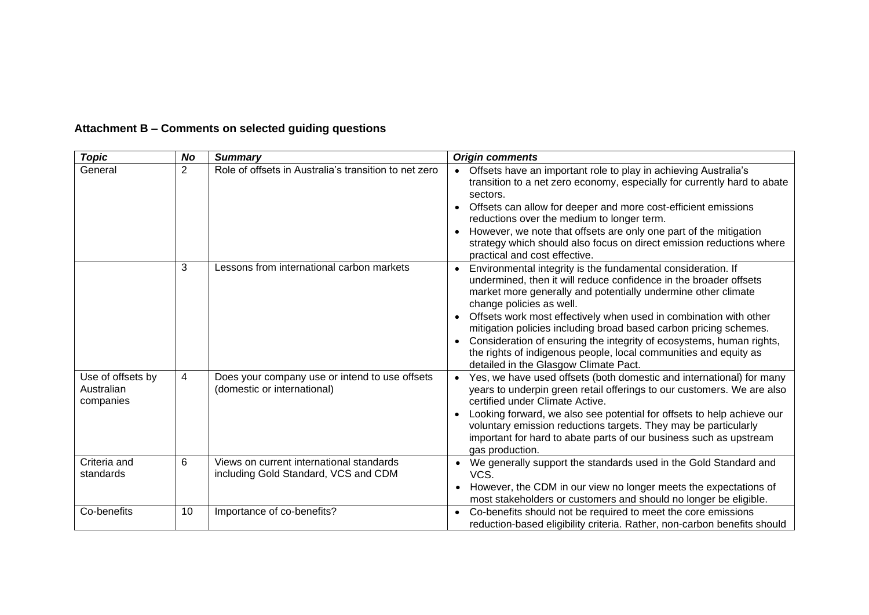| <b>Topic</b>                                 | <b>No</b>      | <b>Summary</b>                                                                   | <b>Origin comments</b>                                                                                                                                                                                                                                                                                                                                                                                                                                                                                                                                        |
|----------------------------------------------|----------------|----------------------------------------------------------------------------------|---------------------------------------------------------------------------------------------------------------------------------------------------------------------------------------------------------------------------------------------------------------------------------------------------------------------------------------------------------------------------------------------------------------------------------------------------------------------------------------------------------------------------------------------------------------|
| General                                      | $\overline{2}$ | Role of offsets in Australia's transition to net zero                            | Offsets have an important role to play in achieving Australia's<br>transition to a net zero economy, especially for currently hard to abate<br>sectors.<br>Offsets can allow for deeper and more cost-efficient emissions<br>reductions over the medium to longer term.<br>However, we note that offsets are only one part of the mitigation<br>strategy which should also focus on direct emission reductions where<br>practical and cost effective.                                                                                                         |
|                                              | 3              | Lessons from international carbon markets                                        | Environmental integrity is the fundamental consideration. If<br>undermined, then it will reduce confidence in the broader offsets<br>market more generally and potentially undermine other climate<br>change policies as well.<br>Offsets work most effectively when used in combination with other<br>mitigation policies including broad based carbon pricing schemes.<br>Consideration of ensuring the integrity of ecosystems, human rights,<br>the rights of indigenous people, local communities and equity as<br>detailed in the Glasgow Climate Pact. |
| Use of offsets by<br>Australian<br>companies | 4              | Does your company use or intend to use offsets<br>(domestic or international)    | Yes, we have used offsets (both domestic and international) for many<br>years to underpin green retail offerings to our customers. We are also<br>certified under Climate Active.<br>Looking forward, we also see potential for offsets to help achieve our<br>voluntary emission reductions targets. They may be particularly<br>important for hard to abate parts of our business such as upstream<br>gas production.                                                                                                                                       |
| Criteria and<br>standards                    | 6              | Views on current international standards<br>including Gold Standard, VCS and CDM | We generally support the standards used in the Gold Standard and<br>VCS.<br>However, the CDM in our view no longer meets the expectations of<br>$\bullet$<br>most stakeholders or customers and should no longer be eligible.                                                                                                                                                                                                                                                                                                                                 |
| Co-benefits                                  | 10             | Importance of co-benefits?                                                       | Co-benefits should not be required to meet the core emissions<br>reduction-based eligibility criteria. Rather, non-carbon benefits should                                                                                                                                                                                                                                                                                                                                                                                                                     |

## **Attachment B – Comments on selected guiding questions**